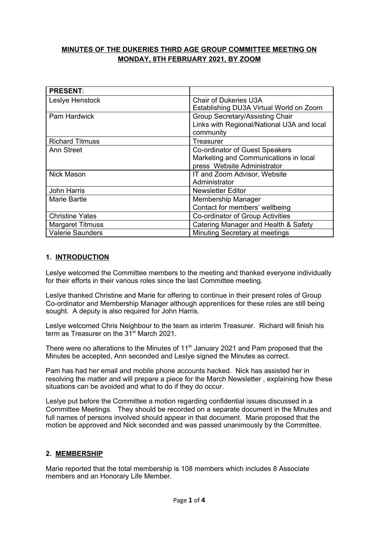# **MINUTES OF THE DUKERIES THIRD AGE GROUP COMMITTEE MEETING ON MONDAY, 8TH FEBRUARY 2021, BY ZOOM**

| <b>PRESENT:</b>         |                                                                                            |
|-------------------------|--------------------------------------------------------------------------------------------|
| Leslye Henstock         | <b>Chair of Dukeries U3A</b><br>Establishing DU3A Virtual World on Zoom                    |
| <b>Pam Hardwick</b>     | Group Secretary/Assisting Chair<br>Links with Regional/National U3A and local<br>community |
| <b>Richard Titmuss</b>  | Treasurer                                                                                  |
| Ann Street              | Co-ordinator of Guest Speakers                                                             |
|                         | Marketing and Communications in local                                                      |
|                         | press Website Administrator                                                                |
| <b>Nick Mason</b>       | IT and Zoom Advisor, Website                                                               |
|                         | Administrator                                                                              |
| John Harris             | <b>Newsletter Editor</b>                                                                   |
| Marie Bartle            | Membership Manager                                                                         |
|                         | Contact for members' wellbeing                                                             |
| <b>Christine Yates</b>  | Co-ordinator of Group Activities                                                           |
| <b>Margaret Titmuss</b> | Catering Manager and Health & Safety                                                       |
| <b>Valerie Saunders</b> | Minuting Secretary at meetings                                                             |

# **1. INTRODUCTION**

Leslye welcomed the Committee members to the meeting and thanked everyone individually for their efforts in their various roles since the last Committee meeting.

Leslye thanked Christine and Marie for offering to continue in their present roles of Group Co-ordinator and Membership Manager although apprentices for these roles are still being sought. A deputy is also required for John Harris.

Leslye welcomed Chris Neighbour to the team as interim Treasurer. Richard will finish his term as Treasurer on the 31<sup>st</sup> March 2021.

There were no alterations to the Minutes of  $11<sup>th</sup>$  January 2021 and Pam proposed that the Minutes be accepted, Ann seconded and Leslye signed the Minutes as correct.

Pam has had her email and mobile phone accounts hacked. Nick has assisted her in resolving the matter and will prepare a piece for the March Newsletter , explaining how these situations can be avoided and what to do if they do occur.

Leslye put before the Committee a motion regarding confidential issues discussed in a Committee Meetings. They should be recorded on a separate document in the Minutes and full names of persons involved should appear in that document. Marie proposed that the motion be approved and Nick seconded and was passed unanimously by the Committee.

### **2. MEMBERSHIP**

Marie reported that the total membership is 108 members which includes 8 Associate members and an Honorary Life Member.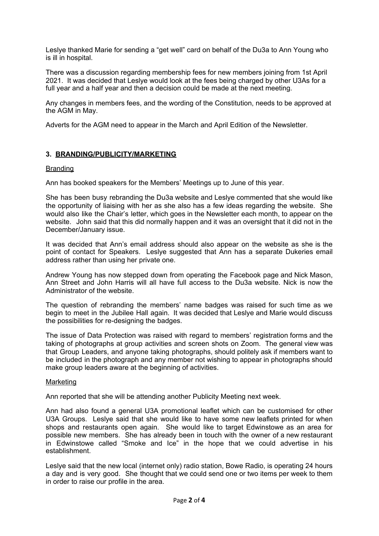Leslye thanked Marie for sending a "get well" card on behalf of the Du3a to Ann Young who is ill in hospital.

There was a discussion regarding membership fees for new members joining from 1st April 2021. It was decided that Leslye would look at the fees being charged by other U3As for a full year and a half year and then a decision could be made at the next meeting.

Any changes in members fees, and the wording of the Constitution, needs to be approved at the AGM in May.

Adverts for the AGM need to appear in the March and April Edition of the Newsletter.

# **3. BRANDING/PUBLICITY/MARKETING**

#### Branding

Ann has booked speakers for the Members' Meetings up to June of this year.

She has been busy rebranding the Du3a website and Leslye commented that she would like the opportunity of liaising with her as she also has a few ideas regarding the website. She would also like the Chair's letter, which goes in the Newsletter each month, to appear on the website. John said that this did normally happen and it was an oversight that it did not in the December/January issue.

It was decided that Ann's email address should also appear on the website as she is the point of contact for Speakers. Leslye suggested that Ann has a separate Dukeries email address rather than using her private one.

Andrew Young has now stepped down from operating the Facebook page and Nick Mason, Ann Street and John Harris will all have full access to the Du3a website. Nick is now the Administrator of the website.

The question of rebranding the members' name badges was raised for such time as we begin to meet in the Jubilee Hall again. It was decided that Leslye and Marie would discuss the possibilities for re-designing the badges.

The issue of Data Protection was raised with regard to members' registration forms and the taking of photographs at group activities and screen shots on Zoom. The general view was that Group Leaders, and anyone taking photographs, should politely ask if members want to be included in the photograph and any member not wishing to appear in photographs should make group leaders aware at the beginning of activities.

#### **Marketing**

Ann reported that she will be attending another Publicity Meeting next week.

Ann had also found a general U3A promotional leaflet which can be customised for other U3A Groups. Leslye said that she would like to have some new leaflets printed for when shops and restaurants open again. She would like to target Edwinstowe as an area for possible new members. She has already been in touch with the owner of a new restaurant in Edwinstowe called "Smoke and Ice" in the hope that we could advertise in his establishment.

Leslye said that the new local (internet only) radio station, Bowe Radio, is operating 24 hours a day and is very good. She thought that we could send one or two items per week to them in order to raise our profile in the area.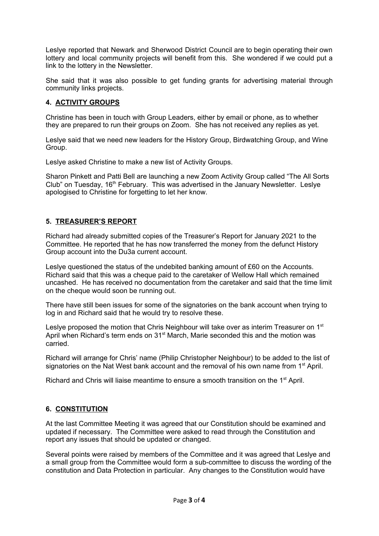Leslye reported that Newark and Sherwood District Council are to begin operating their own lottery and local community projects will benefit from this. She wondered if we could put a link to the lottery in the Newsletter.

She said that it was also possible to get funding grants for advertising material through community links projects.

### **4. ACTIVITY GROUPS**

Christine has been in touch with Group Leaders, either by email or phone, as to whether they are prepared to run their groups on Zoom. She has not received any replies as yet.

Leslye said that we need new leaders for the History Group, Birdwatching Group, and Wine Group.

Leslye asked Christine to make a new list of Activity Groups.

Sharon Pinkett and Patti Bell are launching a new Zoom Activity Group called "The All Sorts Club" on Tuesday, 16<sup>th</sup> February. This was advertised in the January Newsletter. Leslye apologised to Christine for forgetting to let her know.

# **5. TREASURER'S REPORT**

Richard had already submitted copies of the Treasurer's Report for January 2021 to the Committee. He reported that he has now transferred the money from the defunct History Group account into the Du3a current account.

Leslye questioned the status of the undebited banking amount of £60 on the Accounts. Richard said that this was a cheque paid to the caretaker of Wellow Hall which remained uncashed. He has received no documentation from the caretaker and said that the time limit on the cheque would soon be running out.

There have still been issues for some of the signatories on the bank account when trying to log in and Richard said that he would try to resolve these.

Leslye proposed the motion that Chris Neighbour will take over as interim Treasurer on 1<sup>st</sup> April when Richard's term ends on 31<sup>st</sup> March, Marie seconded this and the motion was carried.

Richard will arrange for Chris' name (Philip Christopher Neighbour) to be added to the list of signatories on the Nat West bank account and the removal of his own name from 1<sup>st</sup> April.

Richard and Chris will liaise meantime to ensure a smooth transition on the 1<sup>st</sup> April.

### **6. CONSTITUTION**

At the last Committee Meeting it was agreed that our Constitution should be examined and updated if necessary. The Committee were asked to read through the Constitution and report any issues that should be updated or changed.

Several points were raised by members of the Committee and it was agreed that Leslye and a small group from the Committee would form a sub-committee to discuss the wording of the constitution and Data Protection in particular. Any changes to the Constitution would have